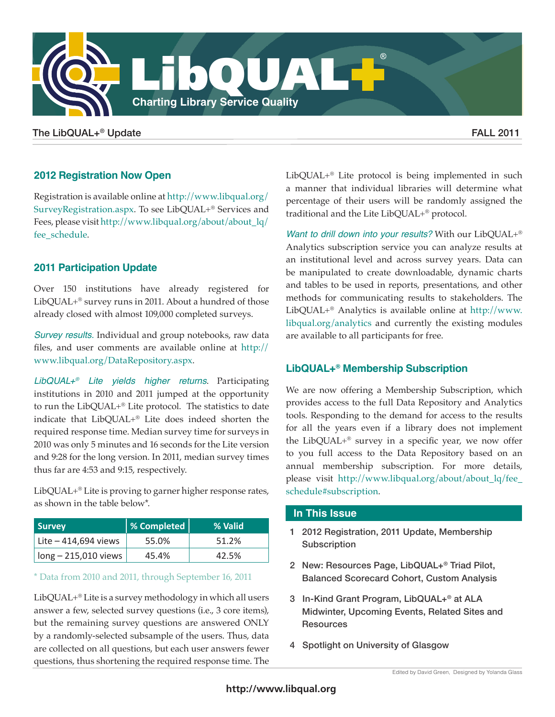

## The LibQUAL+® Update  $\blacksquare$

# **2012 Registration Now Open**

Registration is available online at [http://www.libqual.org/](http://www.libqual.org/SurveyRegistration.aspx) [SurveyRegistration.aspx.](http://www.libqual.org/SurveyRegistration.aspx) To see LibQUAL+® Services and Fees, please visit [http://www.libqual.org/about/about\\_lq/](http://www.libqual.org/about/about_lq/fee_schedule) [fee\\_schedule](http://www.libqual.org/about/about_lq/fee_schedule).

# **2011 Participation Update**

Over 150 institutions have already registered for LibQUAL+® survey runs in 2011. About a hundred of those already closed with almost 109,000 completed surveys.

*Survey results.* Individual and group notebooks, raw data files, and user comments are available online at [http://](http://www.libqual.org/DataRepository.aspx) [www.libqual.org/DataRepository.aspx](http://www.libqual.org/DataRepository.aspx).

*LibQUAL+® Lite yields higher returns*. Participating institutions in 2010 and 2011 jumped at the opportunity to run the LibQUAL+® Lite protocol. The statistics to date indicate that LibQUAL+® Lite does indeed shorten the required response time. Median survey time for surveys in 2010 was only 5 minutes and 16 seconds for the Lite version and 9:28 for the long version. In 2011, median survey times thus far are 4:53 and 9:15, respectively.

LibQUAL+® Lite is proving to garner higher response rates, as shown in the table below\*.

| <b>Survey</b>          | % Completed | % Valid |
|------------------------|-------------|---------|
| Lite $-414,694$ views  | 55.0%       | 51.2%   |
| $long - 215,010$ views | 45.4%       | 42.5%   |

### \* Data from 2010 and 2011, through September 16, 2011

LibQUAL+® Lite is a survey methodology in which all users answer a few, selected survey questions (i.e., 3 core items), but the remaining survey questions are answered ONLY by a randomly-selected subsample of the users. Thus, data are collected on all questions, but each user answers fewer questions, thus shortening the required response time. The

LibQUAL+® Lite protocol is being implemented in such a manner that individual libraries will determine what percentage of their users will be randomly assigned the traditional and the Lite LibQUAL+® protocol.

*Want to drill down into your results?* With our LibQUAL+® Analytics subscription service you can analyze results at an institutional level and across survey years. Data can be manipulated to create downloadable, dynamic charts and tables to be used in reports, presentations, and other methods for communicating results to stakeholders. The LibQUAL+® Analytics is available online at [http://www.](http://www.libqual.org/analytics) [libqual.org/analytics](http://www.libqual.org/analytics) and currently the existing modules are available to all participants for free.

## **LibQUAL+® Membership Subscription**

We are now offering a Membership Subscription, which provides access to the full Data Repository and Analytics tools. Responding to the demand for access to the results for all the years even if a library does not implement the LibQUAL+® survey in a specific year, we now offer to you full access to the Data Repository based on an annual membership subscription. For more details, please visit [http://www.libqual.org/about/about\\_lq/fee\\_](http://www.libqual.org/about/about_lq/fee_schedule#subscription) [schedule#subscription](http://www.libqual.org/about/about_lq/fee_schedule#subscription).

## **In This Issue**

- 1 2012 Registration, 2011 Update, Membership **Subscription**
- 2 New: Resources Page, LibQUAL+® Triad Pilot, Balanced Scorecard Cohort, Custom Analysis
- 3 In-Kind Grant Program, LibQUAL+® at ALA Midwinter, Upcoming Events, Related Sites and **Resources**
- 4 Spotlight on University of Glasgow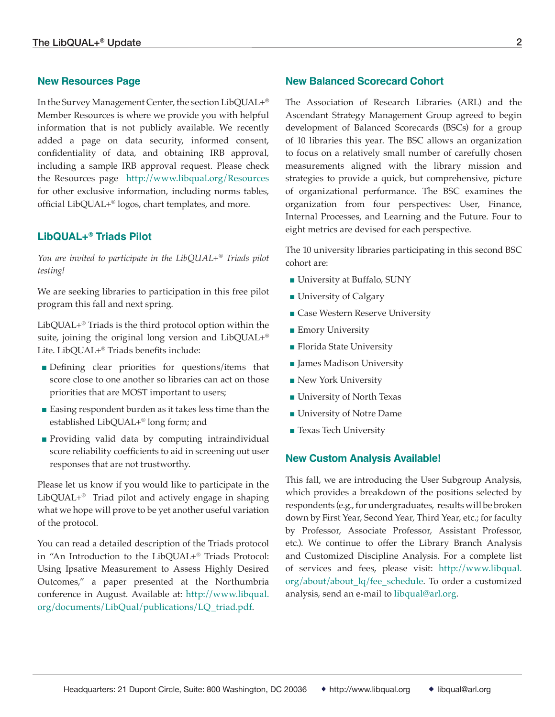## **New Resources Page**

In the Survey Management Center, the section LibQUAL+® Member Resources is where we provide you with helpful information that is not publicly available. We recently added a page on data security, informed consent, confidentiality of data, and obtaining IRB approval, including a sample IRB approval request. Please check the Resources page <http://www.libqual.org/Resources> for other exclusive information, including norms tables, official LibQUAL+® logos, chart templates, and more.

## **LibQUAL+® Triads Pilot**

*You are invited to participate in the LibQUAL+® Triads pilot testing!*

We are seeking libraries to participation in this free pilot program this fall and next spring.

LibQUAL+® Triads is the third protocol option within the suite, joining the original long version and LibQUAL+® Lite. LibQUAL+® Triads benefits include:

- Defining clear priorities for questions/items that score close to one another so libraries can act on those priorities that are MOST important to users;
- Easing respondent burden as it takes less time than the established LibQUAL+® long form; and
- Providing valid data by computing intraindividual score reliability coefficients to aid in screening out user responses that are not trustworthy.

Please let us know if you would like to participate in the LibQUAL+® Triad pilot and actively engage in shaping what we hope will prove to be yet another useful variation of the protocol.

You can read a detailed description of the Triads protocol in "An Introduction to the LibQUAL+® Triads Protocol: Using Ipsative Measurement to Assess Highly Desired Outcomes," a paper presented at the Northumbria conference in August. Available at: [http://www.libqual.](http://www.libqual.org/documents/LibQual/publications/LQ_triad.pdf) [org/documents/LibQual/publications/LQ\\_triad.pdf](http://www.libqual.org/documents/LibQual/publications/LQ_triad.pdf).

## **New Balanced Scorecard Cohort**

The Association of Research Libraries (ARL) and the Ascendant Strategy Management Group agreed to begin development of Balanced Scorecards (BSCs) for a group of 10 libraries this year. The BSC allows an organization to focus on a relatively small number of carefully chosen measurements aligned with the library mission and strategies to provide a quick, but comprehensive, picture of organizational performance. The BSC examines the organization from four perspectives: User, Finance, Internal Processes, and Learning and the Future. Four to eight metrics are devised for each perspective.

The 10 university libraries participating in this second BSC cohort are:

- University at Buffalo, SUNY
- University of Calgary
- Case Western Reserve University
- Emory University
- Florida State University
- James Madison University
- New York University
- University of North Texas
- University of Notre Dame
- Texas Tech University

### **New Custom Analysis Available!**

This fall, we are introducing the User Subgroup Analysis, which provides a breakdown of the positions selected by respondents (e.g., for undergraduates, results will be broken down by First Year, Second Year, Third Year, etc.; for faculty by Professor, Associate Professor, Assistant Professor, etc.). We continue to offer the Library Branch Analysis and Customized Discipline Analysis. For a complete list of services and fees, please visit: [http://www.libqual.](http://www.libqual.org/about/about_lq/fee_schedule) [org/about/about\\_lq/fee\\_schedule.](http://www.libqual.org/about/about_lq/fee_schedule) To order a customized analysis, send an e-mail to [libqual@arl.org.](mailto:libqual@arl.org)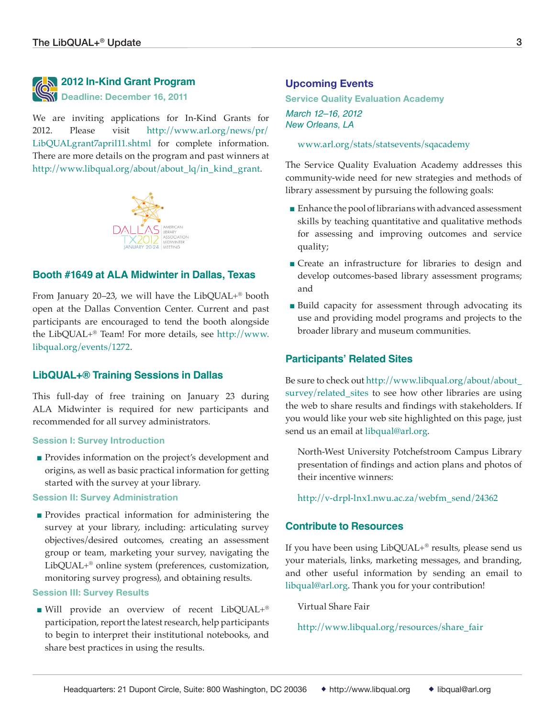

# **2012 In-Kind Grant Program N** Deadline: December 16, 2011

We are inviting applications for In-Kind Grants for 2012. Please visit [http://www.arl.org/news/pr/](http://www.arl.org/news/pr/LibQUALgrant7april11.shtml) [LibQUALgrant7april11.shtml](http://www.arl.org/news/pr/LibQUALgrant7april11.shtml) for complete information. There are more details on the program and past winners at [http://www.libqual.org/about/about\\_lq/in\\_kind\\_grant.](http://www.libqual.org/about/about_lq/in_kind_grant)



## **Booth #1649 at ALA Midwinter in Dallas, Texas**

From January 20–23, we will have the LibQUAL+® booth open at the Dallas Convention Center. Current and past participants are encouraged to tend the booth alongside the LibQUAL+® Team! For more details, see [http://www.](http://www.libqual.org/events/1272) [libqual.org/events/1272.](http://www.libqual.org/events/1272)

### **LibQUAL+® Training Sessions in Dallas**

This full-day of free training on January 23 during ALA Midwinter is required for new participants and recommended for all survey administrators.

#### **Session I: Survey Introduction**

■ Provides information on the project's development and origins, as well as basic practical information for getting started with the survey at your library.

### **Session II: Survey Administration**

■ Provides practical information for administering the survey at your library, including: articulating survey objectives/desired outcomes, creating an assessment group or team, marketing your survey, navigating the LibQUAL+® online system (preferences, customization, monitoring survey progress), and obtaining results.

#### **Session III: Survey Results**

■ Will provide an overview of recent LibQUAL+® participation, report the latest research, help participants to begin to interpret their institutional notebooks, and share best practices in using the results.

## **Upcoming Events**

**Service Quality Evaluation Academy** *March 12–16, 2012 New Orleans, LA*

[www.arl.org/stats/statsevents/sqacademy](http://www.arl.org/stats/statsevents/sqacademy)

The Service Quality Evaluation Academy addresses this community-wide need for new strategies and methods of library assessment by pursuing the following goals:

- Enhance the pool of librarians with advanced assessment skills by teaching quantitative and qualitative methods for assessing and improving outcomes and service quality;
- Create an infrastructure for libraries to design and develop outcomes-based library assessment programs; and
- Build capacity for assessment through advocating its use and providing model programs and projects to the broader library and museum communities.

### **Participants' Related Sites**

Be sure to check out [http://www.libqual.org/about/about\\_](http://www.libqual.org/about/about_survey/related_sites) [survey/related\\_sites](http://www.libqual.org/about/about_survey/related_sites) to see how other libraries are using the web to share results and findings with stakeholders. If you would like your web site highlighted on this page, just send us an email at [libqual@arl.org.](mailto:libqual@arl.org)

North-West University Potchefstroom Campus Library presentation of findings and action plans and [photos of](http://www.facebook.com/media/set/?set=a.190385194360369.47731.131449440253945&type=1)  [their incentive winners:](http://www.facebook.com/media/set/?set=a.190385194360369.47731.131449440253945&type=1)

[http://v-drpl-lnx1.nwu.ac.za/webfm\\_send/24362](http://v-drpl-lnx1.nwu.ac.za/webfm_send/24362)

### **Contribute to Resources**

If you have been using LibQUAL+® results, please send us your materials, links, marketing messages, and branding, and other useful information by sending an email to [libqual@arl.org.](mailto:libqual@arl.org) Thank you for your contribution!

Virtual Share Fair

[http://www.libqual.org/resources/share\\_fair](http://www.libqual.org/resources/share_fair)